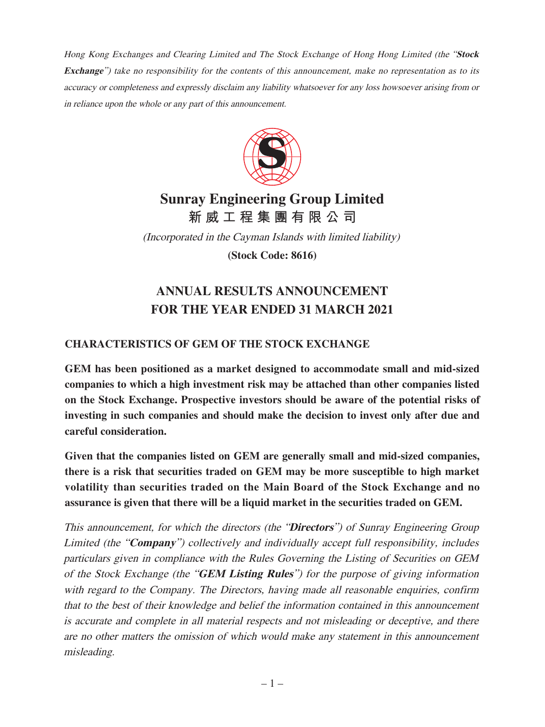Hong Kong Exchanges and Clearing Limited and The Stock Exchange of Hong Hong Limited (the "**Stock Exchange**") take no responsibility for the contents of this announcement, make no representation as to its accuracy or completeness and expressly disclaim any liability whatsoever for any loss howsoever arising from or in reliance upon the whole or any part of this announcement.



# **Sunray Engineering Group Limited 新威工程集團有限公司**

(Incorporated in the Cayman Islands with limited liability)

**(Stock Code: 8616)**

# **ANNUAL RESULTS ANNOUNCEMENT FOR THE YEAR ENDED 31 MARCH 2021**

# **CHARACTERISTICS OF GEM OF THE STOCK EXCHANGE**

**GEM has been positioned as a market designed to accommodate small and mid-sized companies to which a high investment risk may be attached than other companies listed on the Stock Exchange. Prospective investors should be aware of the potential risks of investing in such companies and should make the decision to invest only after due and careful consideration.**

**Given that the companies listed on GEM are generally small and mid-sized companies, there is a risk that securities traded on GEM may be more susceptible to high market volatility than securities traded on the Main Board of the Stock Exchange and no assurance is given that there will be a liquid market in the securities traded on GEM.**

This announcement, for which the directors (the "**Directors**") of Sunray Engineering Group Limited (the "**Company**") collectively and individually accept full responsibility, includes particulars given in compliance with the Rules Governing the Listing of Securities on GEM of the Stock Exchange (the "**GEM Listing Rules**") for the purpose of giving information with regard to the Company. The Directors, having made all reasonable enquiries, confirm that to the best of their knowledge and belief the information contained in this announcement is accurate and complete in all material respects and not misleading or deceptive, and there are no other matters the omission of which would make any statement in this announcement misleading.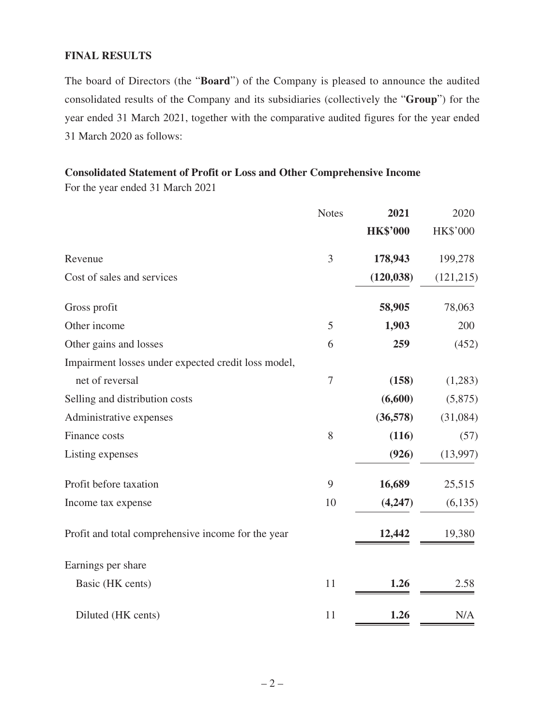#### **FINAL RESULTS**

The board of Directors (the "**Board**") of the Company is pleased to announce the audited consolidated results of the Company and its subsidiaries (collectively the "**Group**") for the year ended 31 March 2021, together with the comparative audited figures for the year ended 31 March 2020 as follows:

## **Consolidated Statement of Profit or Loss and Other Comprehensive Income**

For the year ended 31 March 2021

|                                                     | <b>Notes</b> | 2021            | 2020       |
|-----------------------------------------------------|--------------|-----------------|------------|
|                                                     |              | <b>HK\$'000</b> | HK\$'000   |
| Revenue                                             | 3            | 178,943         | 199,278    |
| Cost of sales and services                          |              | (120, 038)      | (121, 215) |
| Gross profit                                        |              | 58,905          | 78,063     |
| Other income                                        | 5            | 1,903           | 200        |
| Other gains and losses                              | 6            | 259             | (452)      |
| Impairment losses under expected credit loss model, |              |                 |            |
| net of reversal                                     | $\tau$       | (158)           | (1,283)    |
| Selling and distribution costs                      |              | (6,600)         | (5,875)    |
| Administrative expenses                             |              | (36,578)        | (31,084)   |
| Finance costs                                       | 8            | (116)           | (57)       |
| Listing expenses                                    |              | (926)           | (13,997)   |
| Profit before taxation                              | 9            | 16,689          | 25,515     |
| Income tax expense                                  | 10           | (4,247)         | (6, 135)   |
| Profit and total comprehensive income for the year  |              | 12,442          | 19,380     |
| Earnings per share                                  |              |                 |            |
| Basic (HK cents)                                    | 11           | 1.26            | 2.58       |
| Diluted (HK cents)                                  | 11           | 1.26            | N/A        |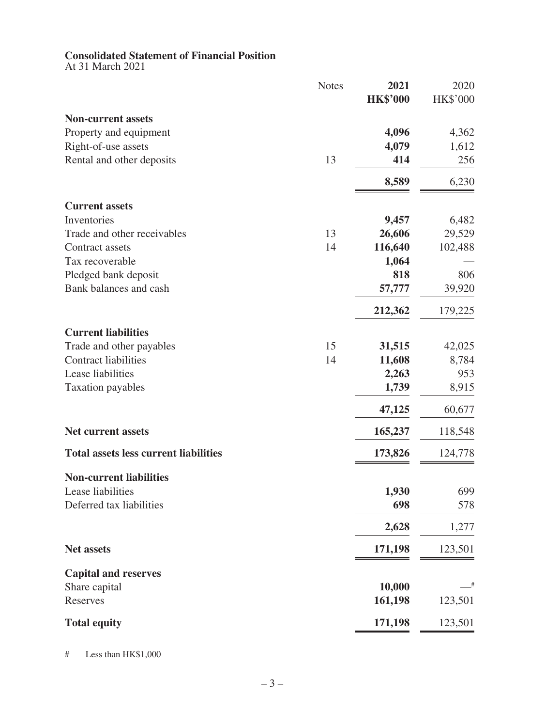#### **Consolidated Statement of Financial Position**

At 31 March 2021

|                                              | <b>Notes</b> | 2021<br><b>HK\$'000</b> | 2020<br>HK\$'000 |
|----------------------------------------------|--------------|-------------------------|------------------|
| <b>Non-current assets</b>                    |              |                         |                  |
| Property and equipment                       |              | 4,096                   | 4,362            |
| Right-of-use assets                          |              | 4,079                   | 1,612            |
| Rental and other deposits                    | 13           | 414                     | 256              |
|                                              |              | 8,589                   | 6,230            |
| <b>Current assets</b>                        |              |                         |                  |
| Inventories                                  |              | 9,457                   | 6,482            |
| Trade and other receivables                  | 13           | 26,606                  | 29,529           |
| Contract assets                              | 14           | 116,640                 | 102,488          |
| Tax recoverable                              |              | 1,064                   |                  |
| Pledged bank deposit                         |              | 818                     | 806              |
| Bank balances and cash                       |              | 57,777                  | 39,920           |
|                                              |              | 212,362                 | 179,225          |
| <b>Current liabilities</b>                   |              |                         |                  |
| Trade and other payables                     | 15           | 31,515                  | 42,025           |
| <b>Contract liabilities</b>                  | 14           | 11,608                  | 8,784            |
| Lease liabilities                            |              | 2,263                   | 953              |
| <b>Taxation payables</b>                     |              | 1,739                   | 8,915            |
|                                              |              | 47,125                  | 60,677           |
| <b>Net current assets</b>                    |              | 165,237                 | 118,548          |
| <b>Total assets less current liabilities</b> |              | 173,826                 | 124,778          |
| <b>Non-current liabilities</b>               |              |                         |                  |
| Lease liabilities                            |              | 1,930                   | 699              |
| Deferred tax liabilities                     |              | 698                     | 578              |
|                                              |              | 2,628                   | 1,277            |
| <b>Net assets</b>                            |              | 171,198                 | 123,501          |
| <b>Capital and reserves</b>                  |              |                         |                  |
| Share capital                                |              | 10,000                  | _#               |
| Reserves                                     |              | 161,198                 | 123,501          |
| <b>Total equity</b>                          |              | 171,198                 | 123,501          |

# Less than HK\$1,000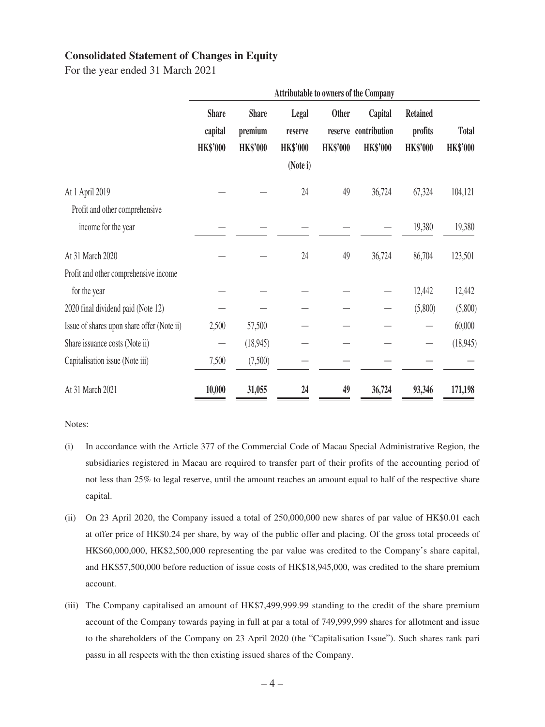#### **Consolidated Statement of Changes in Equity**

For the year ended 31 March 2021

|                                            |                                            |                                            |                                                 |                                            | <b>Attributable to owners of the Company</b> |                                               |                                 |
|--------------------------------------------|--------------------------------------------|--------------------------------------------|-------------------------------------------------|--------------------------------------------|----------------------------------------------|-----------------------------------------------|---------------------------------|
|                                            | <b>Share</b><br>capital<br><b>HK\$'000</b> | <b>Share</b><br>premium<br><b>HK\$'000</b> | Legal<br>reserve<br><b>HK\$'000</b><br>(Note i) | <b>Other</b><br>reserve<br><b>HK\$'000</b> | Capital<br>contribution<br><b>HK\$'000</b>   | <b>Retained</b><br>profits<br><b>HK\$'000</b> | <b>Total</b><br><b>HK\$'000</b> |
|                                            |                                            |                                            |                                                 |                                            |                                              |                                               |                                 |
| At 1 April 2019                            |                                            |                                            | 24                                              | 49                                         | 36,724                                       | 67,324                                        | 104,121                         |
| Profit and other comprehensive             |                                            |                                            |                                                 |                                            |                                              |                                               |                                 |
| income for the year                        |                                            |                                            |                                                 |                                            |                                              | 19,380                                        | 19,380                          |
| At 31 March 2020                           |                                            |                                            | 24                                              | 49                                         | 36,724                                       | 86,704                                        | 123,501                         |
| Profit and other comprehensive income      |                                            |                                            |                                                 |                                            |                                              |                                               |                                 |
| for the year                               |                                            |                                            |                                                 |                                            |                                              | 12,442                                        | 12,442                          |
| 2020 final dividend paid (Note 12)         |                                            |                                            |                                                 |                                            |                                              | (5,800)                                       | (5,800)                         |
| Issue of shares upon share offer (Note ii) | 2,500                                      | 57,500                                     |                                                 |                                            |                                              |                                               | 60,000                          |
| Share issuance costs (Note ii)             |                                            | (18, 945)                                  |                                                 |                                            |                                              |                                               | (18,945)                        |
| Capitalisation issue (Note iii)            | 7,500                                      | (7,500)                                    |                                                 |                                            |                                              |                                               |                                 |
| At 31 March 2021                           | 10,000                                     | 31,055                                     | 24                                              | 49                                         | 36,724                                       | 93,346                                        | 171,198                         |

Notes:

- (i) In accordance with the Article 377 of the Commercial Code of Macau Special Administrative Region, the subsidiaries registered in Macau are required to transfer part of their profits of the accounting period of not less than 25% to legal reserve, until the amount reaches an amount equal to half of the respective share capital.
- (ii) On 23 April 2020, the Company issued a total of 250,000,000 new shares of par value of HK\$0.01 each at offer price of HK\$0.24 per share, by way of the public offer and placing. Of the gross total proceeds of HK\$60,000,000, HK\$2,500,000 representing the par value was credited to the Company's share capital, and HK\$57,500,000 before reduction of issue costs of HK\$18,945,000, was credited to the share premium account.
- (iii) The Company capitalised an amount of HK\$7,499,999.99 standing to the credit of the share premium account of the Company towards paying in full at par a total of 749,999,999 shares for allotment and issue to the shareholders of the Company on 23 April 2020 (the "Capitalisation Issue"). Such shares rank pari passu in all respects with the then existing issued shares of the Company.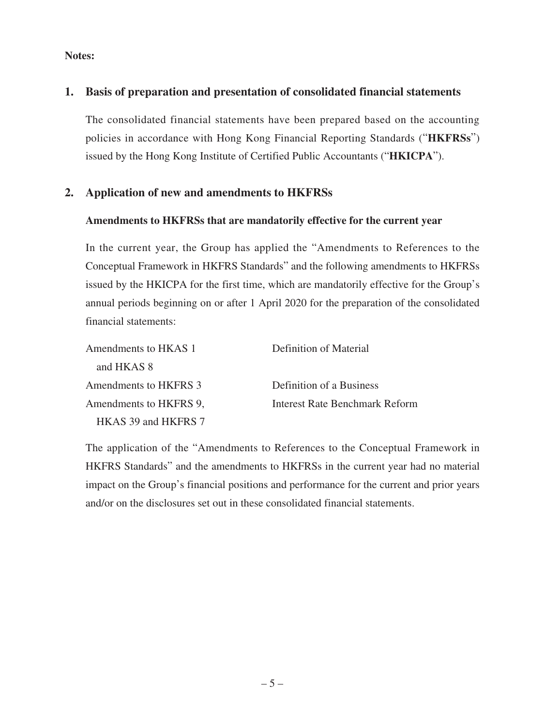#### **Notes:**

## **1. Basis of preparation and presentation of consolidated financial statements**

The consolidated financial statements have been prepared based on the accounting policies in accordance with Hong Kong Financial Reporting Standards ("**HKFRSs**") issued by the Hong Kong Institute of Certified Public Accountants ("**HKICPA**").

## **2. Application of new and amendments to HKFRSs**

#### **Amendments to HKFRSs that are mandatorily effective for the current year**

In the current year, the Group has applied the "Amendments to References to the Conceptual Framework in HKFRS Standards" and the following amendments to HKFRSs issued by the HKICPA for the first time, which are mandatorily effective for the Group's annual periods beginning on or after 1 April 2020 for the preparation of the consolidated financial statements:

| Amendments to HKAS 1   | Definition of Material         |
|------------------------|--------------------------------|
| and HKAS 8             |                                |
| Amendments to HKFRS 3  | Definition of a Business       |
| Amendments to HKFRS 9. | Interest Rate Benchmark Reform |
| HKAS 39 and HKFRS 7    |                                |

The application of the "Amendments to References to the Conceptual Framework in HKFRS Standards" and the amendments to HKFRSs in the current year had no material impact on the Group's financial positions and performance for the current and prior years and/or on the disclosures set out in these consolidated financial statements.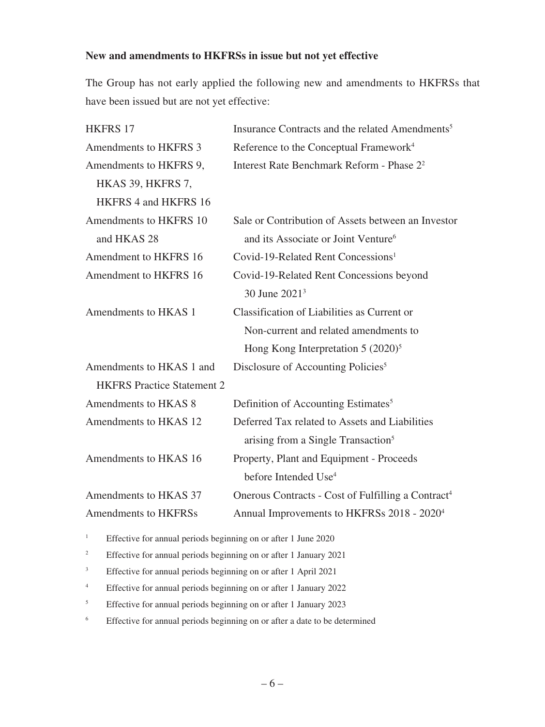#### **New and amendments to HKFRSs in issue but not yet effective**

The Group has not early applied the following new and amendments to HKFRSs that have been issued but are not yet effective:

| <b>HKFRS 17</b>                   | Insurance Contracts and the related Amendments <sup>5</sup>    |
|-----------------------------------|----------------------------------------------------------------|
| Amendments to HKFRS 3             | Reference to the Conceptual Framework <sup>4</sup>             |
| Amendments to HKFRS 9,            | Interest Rate Benchmark Reform - Phase 2 <sup>2</sup>          |
| HKAS 39, HKFRS 7,                 |                                                                |
| HKFRS 4 and HKFRS 16              |                                                                |
| Amendments to HKFRS 10            | Sale or Contribution of Assets between an Investor             |
| and HKAS 28                       | and its Associate or Joint Venture <sup>6</sup>                |
| Amendment to HKFRS 16             | Covid-19-Related Rent Concessions <sup>1</sup>                 |
| Amendment to HKFRS 16             | Covid-19-Related Rent Concessions beyond                       |
|                                   | 30 June 2021 <sup>3</sup>                                      |
| Amendments to HKAS 1              | Classification of Liabilities as Current or                    |
|                                   | Non-current and related amendments to                          |
|                                   | Hong Kong Interpretation $5 (2020)^5$                          |
| Amendments to HKAS 1 and          | Disclosure of Accounting Policies <sup>5</sup>                 |
| <b>HKFRS</b> Practice Statement 2 |                                                                |
| Amendments to HKAS 8              | Definition of Accounting Estimates <sup>5</sup>                |
| Amendments to HKAS 12             | Deferred Tax related to Assets and Liabilities                 |
|                                   | arising from a Single Transaction <sup>5</sup>                 |
| Amendments to HKAS 16             | Property, Plant and Equipment - Proceeds                       |
|                                   | before Intended Use <sup>4</sup>                               |
| Amendments to HKAS 37             | Onerous Contracts - Cost of Fulfilling a Contract <sup>4</sup> |
| Amendments to HKFRSs              | Annual Improvements to HKFRSs 2018 - 2020 <sup>4</sup>         |

<sup>1</sup> Effective for annual periods beginning on or after 1 June 2020

- <sup>2</sup> Effective for annual periods beginning on or after 1 January 2021
- <sup>3</sup> Effective for annual periods beginning on or after 1 April 2021
- 4 Effective for annual periods beginning on or after 1 January 2022
- <sup>5</sup> Effective for annual periods beginning on or after 1 January 2023
- <sup>6</sup> Effective for annual periods beginning on or after a date to be determined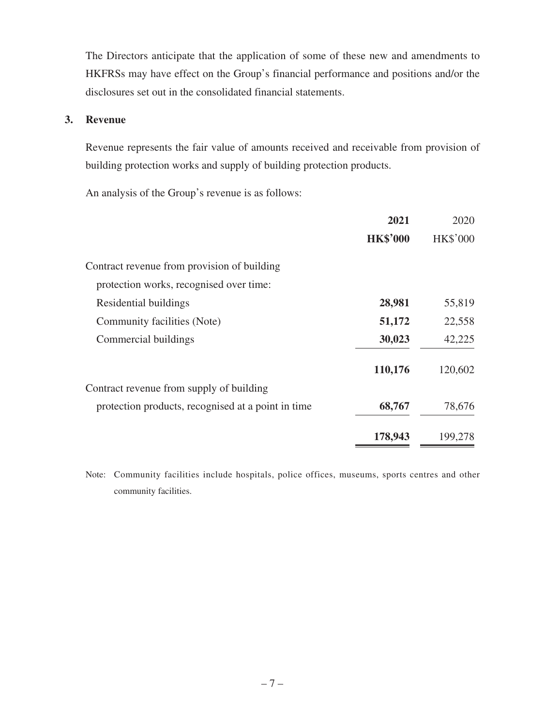The Directors anticipate that the application of some of these new and amendments to HKFRSs may have effect on the Group's financial performance and positions and/or the disclosures set out in the consolidated financial statements.

#### **3. Revenue**

Revenue represents the fair value of amounts received and receivable from provision of building protection works and supply of building protection products.

An analysis of the Group's revenue is as follows:

| 2021            | 2020            |
|-----------------|-----------------|
| <b>HK\$'000</b> | <b>HK\$'000</b> |
|                 |                 |
|                 |                 |
| 28,981          | 55,819          |
| 51,172          | 22,558          |
| 30,023          | 42,225          |
| 110,176         | 120,602         |
|                 |                 |
| 68,767          | 78,676          |
| 178,943         | 199,278         |
|                 |                 |

Note: Community facilities include hospitals, police offices, museums, sports centres and other community facilities.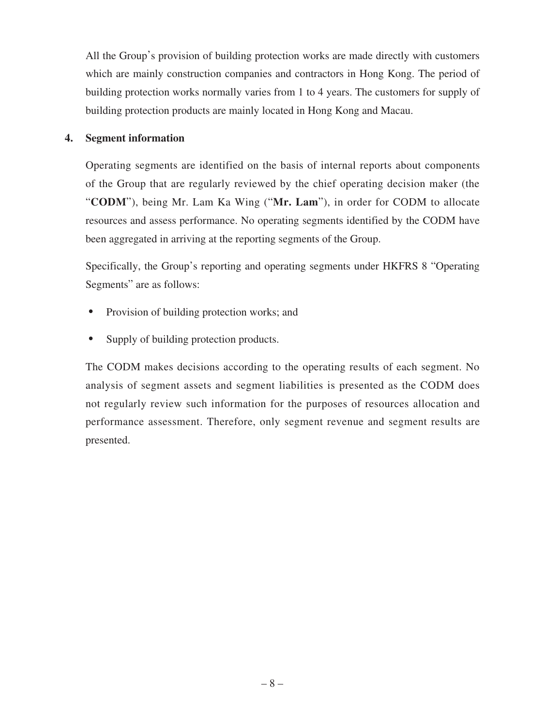All the Group's provision of building protection works are made directly with customers which are mainly construction companies and contractors in Hong Kong. The period of building protection works normally varies from 1 to 4 years. The customers for supply of building protection products are mainly located in Hong Kong and Macau.

### **4. Segment information**

Operating segments are identified on the basis of internal reports about components of the Group that are regularly reviewed by the chief operating decision maker (the "**CODM**"), being Mr. Lam Ka Wing ("**Mr. Lam**"), in order for CODM to allocate resources and assess performance. No operating segments identified by the CODM have been aggregated in arriving at the reporting segments of the Group.

Specifically, the Group's reporting and operating segments under HKFRS 8 "Operating Segments" are as follows:

- ‧ Provision of building protection works; and
- Supply of building protection products.

The CODM makes decisions according to the operating results of each segment. No analysis of segment assets and segment liabilities is presented as the CODM does not regularly review such information for the purposes of resources allocation and performance assessment. Therefore, only segment revenue and segment results are presented.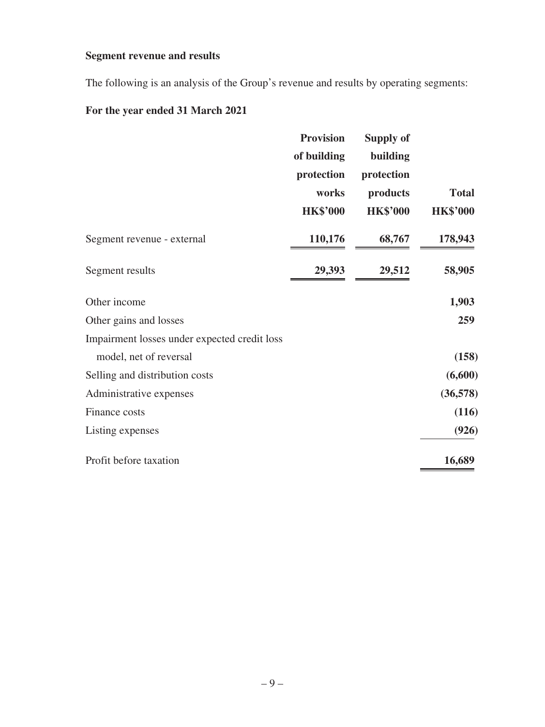## **Segment revenue and results**

The following is an analysis of the Group's revenue and results by operating segments:

# **For the year ended 31 March 2021**

| of building<br>protection<br>works<br><b>HK\$'000</b> | <b>Supply of</b><br>building<br>protection<br>products<br><b>HK\$'000</b> | <b>Total</b><br><b>HK\$'000</b> |
|-------------------------------------------------------|---------------------------------------------------------------------------|---------------------------------|
| 110,176                                               | 68,767                                                                    | 178,943                         |
| 29,393                                                | 29,512                                                                    | 58,905                          |
|                                                       |                                                                           | 1,903                           |
|                                                       |                                                                           | 259                             |
|                                                       |                                                                           |                                 |
|                                                       |                                                                           | (158)                           |
|                                                       |                                                                           | (6,600)                         |
|                                                       |                                                                           | (36,578)                        |
|                                                       |                                                                           | (116)                           |
|                                                       |                                                                           | (926)                           |
|                                                       |                                                                           | 16,689                          |
|                                                       | <b>Provision</b>                                                          |                                 |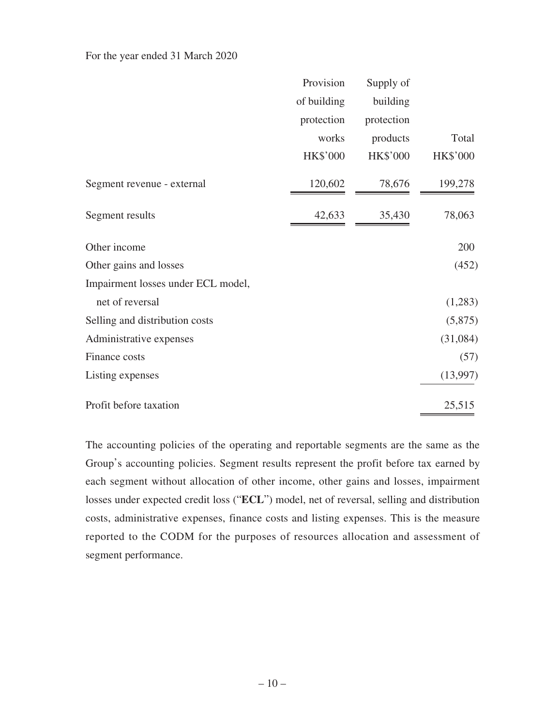| For the year ended 31 March 2020 |  |  |  |
|----------------------------------|--|--|--|
|----------------------------------|--|--|--|

|                                    | Provision       | Supply of       |                 |
|------------------------------------|-----------------|-----------------|-----------------|
|                                    | of building     | building        |                 |
|                                    | protection      | protection      |                 |
|                                    | works           | products        | Total           |
|                                    | <b>HK\$'000</b> | <b>HK\$'000</b> | <b>HK\$'000</b> |
| Segment revenue - external         | 120,602         | 78,676          | 199,278         |
| Segment results                    | 42,633          | 35,430          | 78,063          |
| Other income                       |                 |                 | 200             |
| Other gains and losses             |                 |                 | (452)           |
| Impairment losses under ECL model, |                 |                 |                 |
| net of reversal                    |                 |                 | (1,283)         |
| Selling and distribution costs     |                 |                 | (5,875)         |
| Administrative expenses            |                 |                 | (31,084)        |
| Finance costs                      |                 |                 | (57)            |
| Listing expenses                   |                 |                 | (13,997)        |
| Profit before taxation             |                 |                 | 25,515          |

The accounting policies of the operating and reportable segments are the same as the Group's accounting policies. Segment results represent the profit before tax earned by each segment without allocation of other income, other gains and losses, impairment losses under expected credit loss ("**ECL**") model, net of reversal, selling and distribution costs, administrative expenses, finance costs and listing expenses. This is the measure reported to the CODM for the purposes of resources allocation and assessment of segment performance.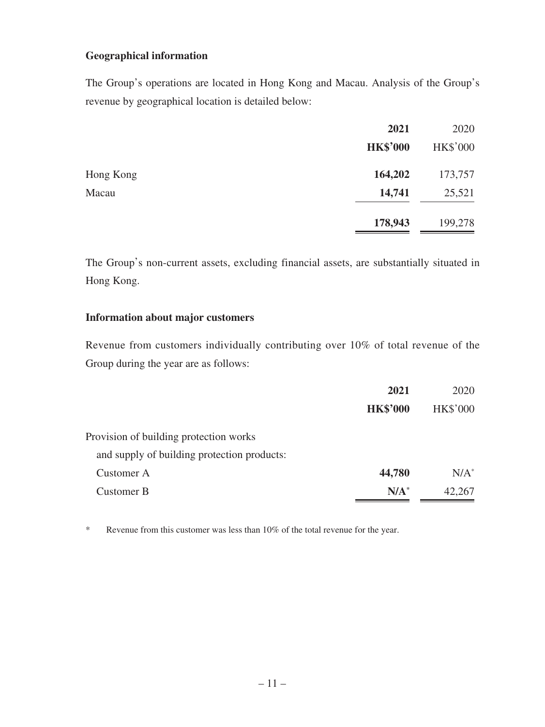#### **Geographical information**

The Group's operations are located in Hong Kong and Macau. Analysis of the Group's revenue by geographical location is detailed below:

|           | 2021            | 2020     |
|-----------|-----------------|----------|
|           | <b>HK\$'000</b> | HK\$'000 |
| Hong Kong | 164,202         | 173,757  |
| Macau     | 14,741          | 25,521   |
|           | 178,943         | 199,278  |

The Group's non-current assets, excluding financial assets, are substantially situated in Hong Kong.

#### **Information about major customers**

Revenue from customers individually contributing over 10% of total revenue of the Group during the year are as follows:

|                                             | 2021            | 2020            |
|---------------------------------------------|-----------------|-----------------|
|                                             | <b>HK\$'000</b> | <b>HK\$'000</b> |
| Provision of building protection works      |                 |                 |
| and supply of building protection products: |                 |                 |
| Customer A                                  | 44,780          | $N/A^*$         |
| Customer B                                  | $N/A^*$         | 42,267          |

\* Revenue from this customer was less than 10% of the total revenue for the year.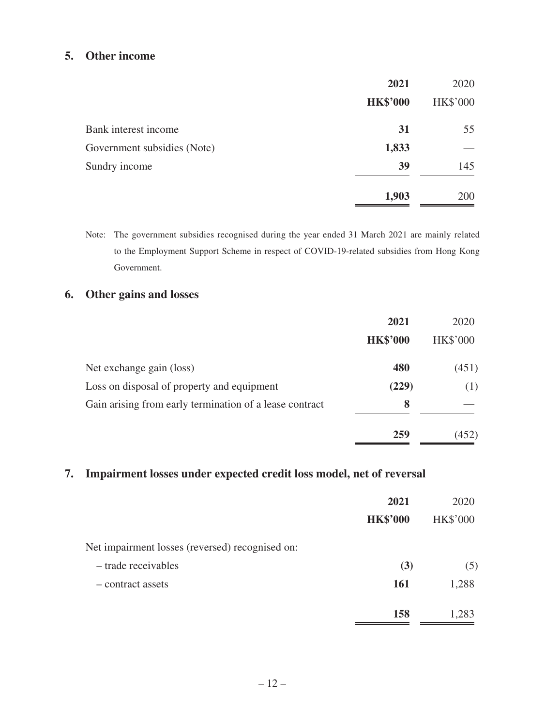## **5. Other income**

|                             | 2021            | 2020            |
|-----------------------------|-----------------|-----------------|
|                             | <b>HK\$'000</b> | <b>HK\$'000</b> |
| Bank interest income        | 31              | 55              |
| Government subsidies (Note) | 1,833           |                 |
| Sundry income               | 39              | 145             |
|                             | 1,903           | 200             |

Note: The government subsidies recognised during the year ended 31 March 2021 are mainly related to the Employment Support Scheme in respect of COVID-19-related subsidies from Hong Kong Government.

## **6. Other gains and losses**

|                                                         | 2021            | 2020            |
|---------------------------------------------------------|-----------------|-----------------|
|                                                         | <b>HK\$'000</b> | <b>HK\$'000</b> |
| Net exchange gain (loss)                                | 480             | (451)           |
| Loss on disposal of property and equipment              | (229)           | (1)             |
| Gain arising from early termination of a lease contract | 8               |                 |
|                                                         | 259             | (452)           |

## **7. Impairment losses under expected credit loss model, net of reversal**

|                                                 | 2021<br><b>HK\$'000</b> | 2020<br><b>HK\$'000</b> |
|-------------------------------------------------|-------------------------|-------------------------|
| Net impairment losses (reversed) recognised on: |                         |                         |
| - trade receivables                             | (3)                     | (5)                     |
| - contract assets                               | <b>161</b>              | 1,288                   |
|                                                 | 158                     | 1,283                   |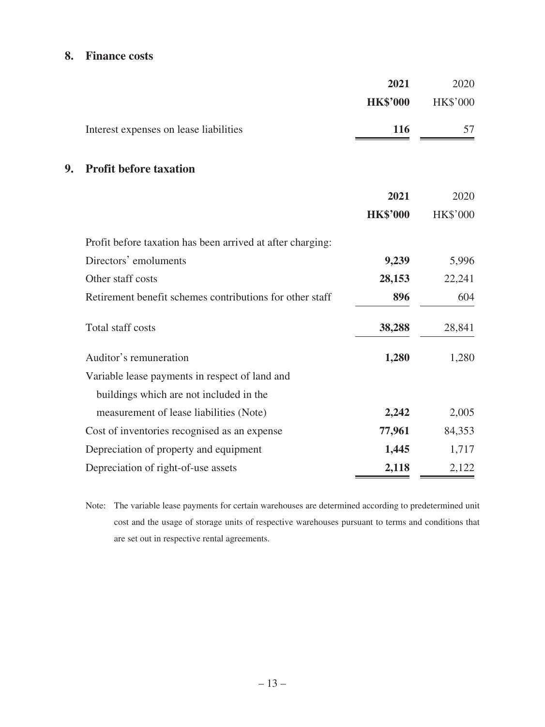# **8. Finance costs**

|    |                                                            | 2021            | 2020            |
|----|------------------------------------------------------------|-----------------|-----------------|
|    |                                                            | <b>HK\$'000</b> | <b>HK\$'000</b> |
|    | Interest expenses on lease liabilities                     | 116             | 57              |
| 9. | <b>Profit before taxation</b>                              |                 |                 |
|    |                                                            | 2021            | 2020            |
|    |                                                            | <b>HK\$'000</b> | <b>HK\$'000</b> |
|    | Profit before taxation has been arrived at after charging: |                 |                 |
|    | Directors' emoluments                                      | 9,239           | 5,996           |
|    | Other staff costs                                          | 28,153          | 22,241          |
|    | Retirement benefit schemes contributions for other staff   | 896             | 604             |
|    | Total staff costs                                          | 38,288          | 28,841          |
|    | Auditor's remuneration                                     | 1,280           | 1,280           |
|    | Variable lease payments in respect of land and             |                 |                 |
|    | buildings which are not included in the                    |                 |                 |
|    | measurement of lease liabilities (Note)                    | 2,242           | 2,005           |
|    | Cost of inventories recognised as an expense               | 77,961          | 84,353          |
|    | Depreciation of property and equipment                     | 1,445           | 1,717           |
|    | Depreciation of right-of-use assets                        | 2,118           | 2,122           |

Note: The variable lease payments for certain warehouses are determined according to predetermined unit cost and the usage of storage units of respective warehouses pursuant to terms and conditions that are set out in respective rental agreements.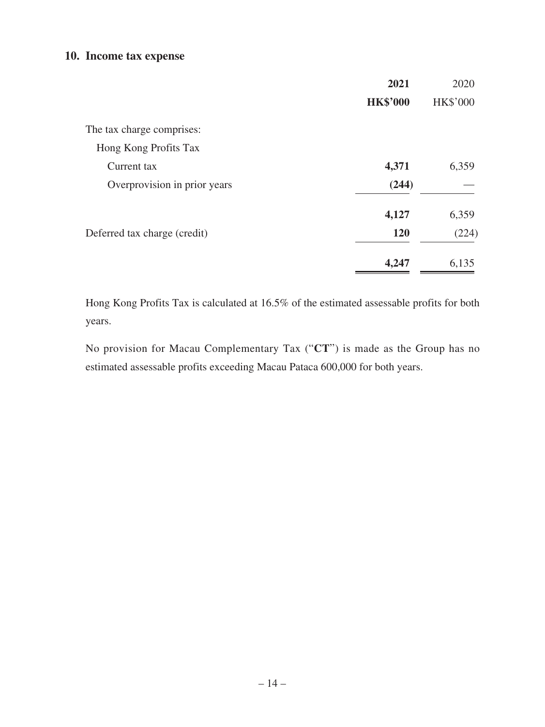#### **10. Income tax expense**

|                              | 2021            | 2020            |
|------------------------------|-----------------|-----------------|
|                              | <b>HK\$'000</b> | <b>HK\$'000</b> |
| The tax charge comprises:    |                 |                 |
| Hong Kong Profits Tax        |                 |                 |
| Current tax                  | 4,371           | 6,359           |
| Overprovision in prior years | (244)           |                 |
|                              | 4,127           | 6,359           |
| Deferred tax charge (credit) | 120             | (224)           |
|                              | 4,247           | 6,135           |

Hong Kong Profits Tax is calculated at 16.5% of the estimated assessable profits for both years.

No provision for Macau Complementary Tax ("**CT**") is made as the Group has no estimated assessable profits exceeding Macau Pataca 600,000 for both years.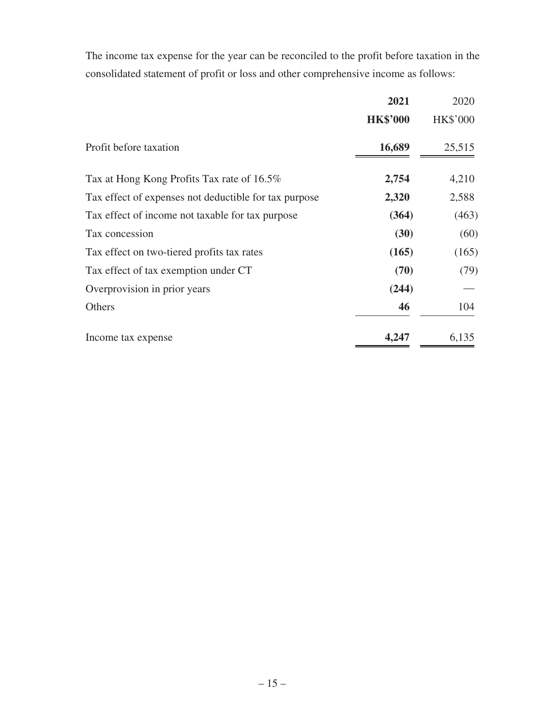The income tax expense for the year can be reconciled to the profit before taxation in the consolidated statement of profit or loss and other comprehensive income as follows:

|                                                       | 2021            | 2020            |
|-------------------------------------------------------|-----------------|-----------------|
|                                                       | <b>HK\$'000</b> | <b>HK\$'000</b> |
| Profit before taxation                                | 16,689          | 25,515          |
| Tax at Hong Kong Profits Tax rate of 16.5%            | 2,754           | 4,210           |
| Tax effect of expenses not deductible for tax purpose | 2,320           | 2,588           |
| Tax effect of income not taxable for tax purpose      | (364)           | (463)           |
| Tax concession                                        | (30)            | (60)            |
| Tax effect on two-tiered profits tax rates            | (165)           | (165)           |
| Tax effect of tax exemption under CT                  | (70)            | (79)            |
| Overprovision in prior years                          | (244)           |                 |
| Others                                                | 46              | 104             |
| Income tax expense                                    | 4,247           | 6,135           |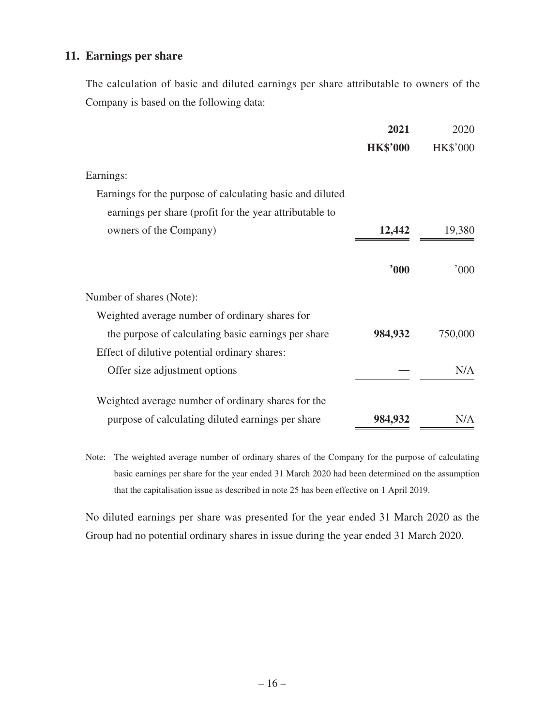## **11. Earnings per share**

The calculation of basic and diluted earnings per share attributable to owners of the Company is based on the following data:

|                                                           | 2021            | 2020            |
|-----------------------------------------------------------|-----------------|-----------------|
|                                                           | <b>HK\$'000</b> | <b>HK\$'000</b> |
| Earnings:                                                 |                 |                 |
| Earnings for the purpose of calculating basic and diluted |                 |                 |
| earnings per share (profit for the year attributable to   |                 |                 |
| owners of the Company)                                    | 12,442          | 19,380          |
|                                                           | "000"           | 000'            |
| Number of shares (Note):                                  |                 |                 |
| Weighted average number of ordinary shares for            |                 |                 |
| the purpose of calculating basic earnings per share       | 984,932         | 750,000         |
| Effect of dilutive potential ordinary shares:             |                 |                 |
| Offer size adjustment options                             |                 | N/A             |
| Weighted average number of ordinary shares for the        |                 |                 |
| purpose of calculating diluted earnings per share         | 984,932         | N/A             |

Note: The weighted average number of ordinary shares of the Company for the purpose of calculating basic earnings per share for the year ended 31 March 2020 had been determined on the assumption that the capitalisation issue as described in note 25 has been effective on 1 April 2019.

No diluted earnings per share was presented for the year ended 31 March 2020 as the Group had no potential ordinary shares in issue during the year ended 31 March 2020.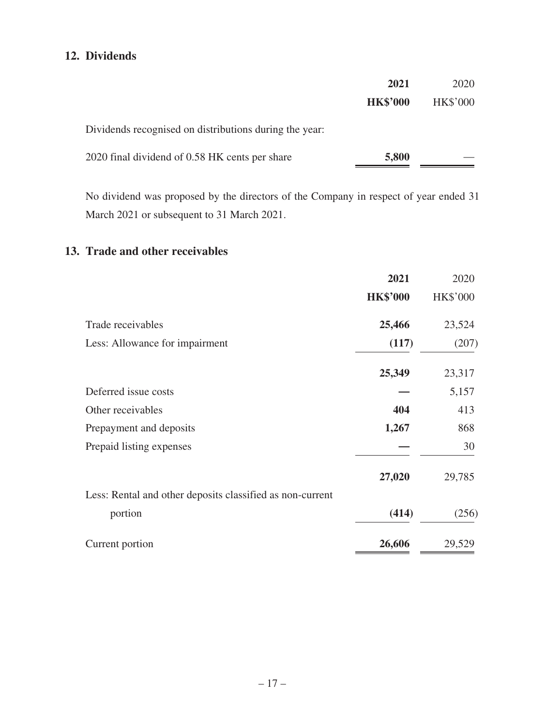# **12. Dividends**

|                                                        | 2021            | 2020            |
|--------------------------------------------------------|-----------------|-----------------|
|                                                        | <b>HK\$'000</b> | <b>HK\$'000</b> |
| Dividends recognised on distributions during the year: |                 |                 |
| 2020 final dividend of 0.58 HK cents per share         | 5,800           |                 |

No dividend was proposed by the directors of the Company in respect of year ended 31 March 2021 or subsequent to 31 March 2021.

## **13. Trade and other receivables**

|                                                           | 2021            | 2020     |
|-----------------------------------------------------------|-----------------|----------|
|                                                           | <b>HK\$'000</b> | HK\$'000 |
| Trade receivables                                         | 25,466          | 23,524   |
| Less: Allowance for impairment                            | (117)           | (207)    |
|                                                           | 25,349          | 23,317   |
| Deferred issue costs                                      |                 | 5,157    |
| Other receivables                                         | 404             | 413      |
| Prepayment and deposits                                   | 1,267           | 868      |
| Prepaid listing expenses                                  |                 | 30       |
|                                                           | 27,020          | 29,785   |
| Less: Rental and other deposits classified as non-current |                 |          |
| portion                                                   | (414)           | (256)    |
| Current portion                                           | 26,606          | 29,529   |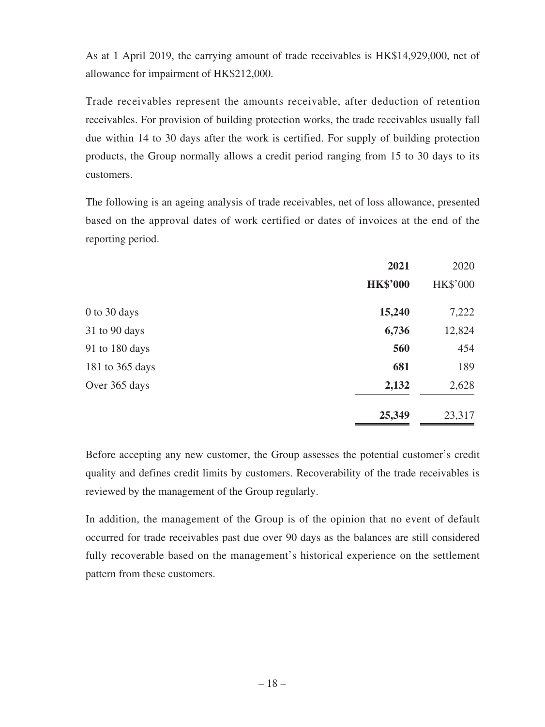As at 1 April 2019, the carrying amount of trade receivables is HK\$14,929,000, net of allowance for impairment of HK\$212,000.

Trade receivables represent the amounts receivable, after deduction of retention receivables. For provision of building protection works, the trade receivables usually fall due within 14 to 30 days after the work is certified. For supply of building protection products, the Group normally allows a credit period ranging from 15 to 30 days to its customers.

The following is an ageing analysis of trade receivables, net of loss allowance, presented based on the approval dates of work certified or dates of invoices at the end of the reporting period.

|                 | 2021            | 2020            |
|-----------------|-----------------|-----------------|
|                 | <b>HK\$'000</b> | <b>HK\$'000</b> |
| 0 to 30 days    | 15,240          | 7,222           |
| 31 to 90 days   | 6,736           | 12,824          |
| 91 to 180 days  | 560             | 454             |
| 181 to 365 days | 681             | 189             |
| Over 365 days   | 2,132           | 2,628           |
|                 | 25,349          | 23,317          |

Before accepting any new customer, the Group assesses the potential customer's credit quality and defines credit limits by customers. Recoverability of the trade receivables is reviewed by the management of the Group regularly.

In addition, the management of the Group is of the opinion that no event of default occurred for trade receivables past due over 90 days as the balances are still considered fully recoverable based on the management's historical experience on the settlement pattern from these customers.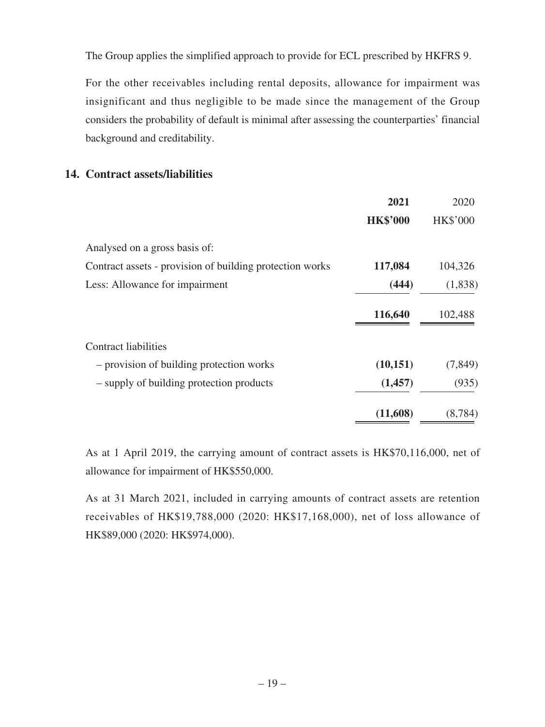The Group applies the simplified approach to provide for ECL prescribed by HKFRS 9.

For the other receivables including rental deposits, allowance for impairment was insignificant and thus negligible to be made since the management of the Group considers the probability of default is minimal after assessing the counterparties' financial background and creditability.

## **14. Contract assets/liabilities**

|                                                          | 2021            | 2020            |
|----------------------------------------------------------|-----------------|-----------------|
|                                                          | <b>HK\$'000</b> | <b>HK\$'000</b> |
| Analysed on a gross basis of:                            |                 |                 |
| Contract assets - provision of building protection works | 117,084         | 104,326         |
| Less: Allowance for impairment                           | (444)           | (1,838)         |
|                                                          | 116,640         | 102,488         |
| <b>Contract liabilities</b>                              |                 |                 |
| - provision of building protection works                 | (10, 151)       | (7, 849)        |
| - supply of building protection products                 | (1,457)         | (935)           |
|                                                          | (11,608)        | (8, 784)        |

As at 1 April 2019, the carrying amount of contract assets is HK\$70,116,000, net of allowance for impairment of HK\$550,000.

As at 31 March 2021, included in carrying amounts of contract assets are retention receivables of HK\$19,788,000 (2020: HK\$17,168,000), net of loss allowance of HK\$89,000 (2020: HK\$974,000).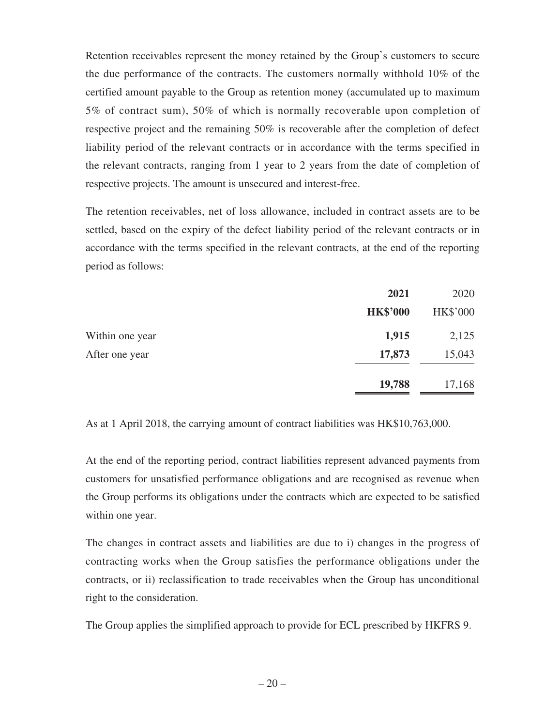Retention receivables represent the money retained by the Group's customers to secure the due performance of the contracts. The customers normally withhold 10% of the certified amount payable to the Group as retention money (accumulated up to maximum 5% of contract sum), 50% of which is normally recoverable upon completion of respective project and the remaining 50% is recoverable after the completion of defect liability period of the relevant contracts or in accordance with the terms specified in the relevant contracts, ranging from 1 year to 2 years from the date of completion of respective projects. The amount is unsecured and interest-free.

The retention receivables, net of loss allowance, included in contract assets are to be settled, based on the expiry of the defect liability period of the relevant contracts or in accordance with the terms specified in the relevant contracts, at the end of the reporting period as follows:

|                 | 2021            | 2020     |
|-----------------|-----------------|----------|
|                 | <b>HK\$'000</b> | HK\$'000 |
| Within one year | 1,915           | 2,125    |
| After one year  | 17,873          | 15,043   |
|                 | 19,788          | 17,168   |

As at 1 April 2018, the carrying amount of contract liabilities was HK\$10,763,000.

At the end of the reporting period, contract liabilities represent advanced payments from customers for unsatisfied performance obligations and are recognised as revenue when the Group performs its obligations under the contracts which are expected to be satisfied within one year.

The changes in contract assets and liabilities are due to i) changes in the progress of contracting works when the Group satisfies the performance obligations under the contracts, or ii) reclassification to trade receivables when the Group has unconditional right to the consideration.

The Group applies the simplified approach to provide for ECL prescribed by HKFRS 9.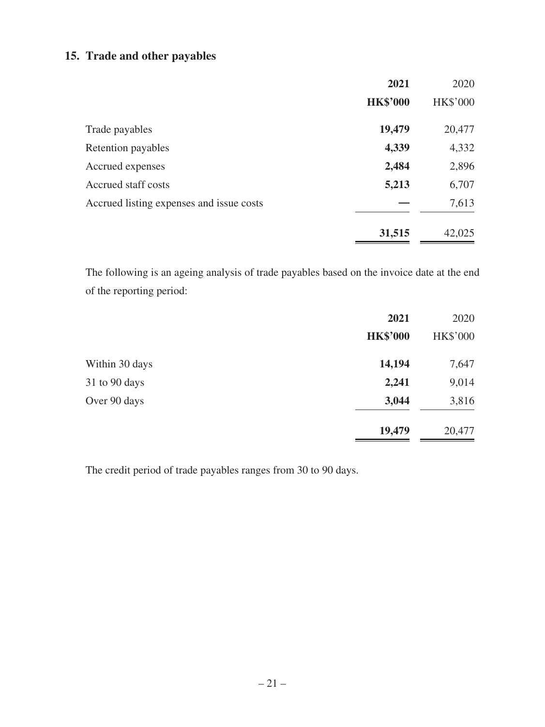# **15. Trade and other payables**

|                                          | 2021            | 2020            |
|------------------------------------------|-----------------|-----------------|
|                                          | <b>HK\$'000</b> | <b>HK\$'000</b> |
| Trade payables                           | 19,479          | 20,477          |
| Retention payables                       | 4,339           | 4,332           |
| Accrued expenses                         | 2,484           | 2,896           |
| Accrued staff costs                      | 5,213           | 6,707           |
| Accrued listing expenses and issue costs |                 | 7,613           |
|                                          | 31,515          | 42,025          |

The following is an ageing analysis of trade payables based on the invoice date at the end of the reporting period:

|                | 2021            | 2020     |
|----------------|-----------------|----------|
|                | <b>HK\$'000</b> | HK\$'000 |
| Within 30 days | 14,194          | 7,647    |
| 31 to 90 days  | 2,241           | 9,014    |
| Over 90 days   | 3,044           | 3,816    |
|                | 19,479          | 20,477   |

The credit period of trade payables ranges from 30 to 90 days.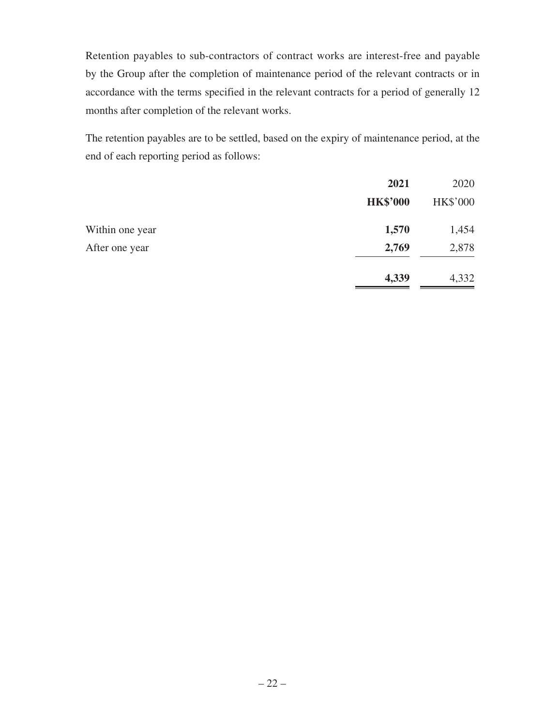Retention payables to sub-contractors of contract works are interest-free and payable by the Group after the completion of maintenance period of the relevant contracts or in accordance with the terms specified in the relevant contracts for a period of generally 12 months after completion of the relevant works.

The retention payables are to be settled, based on the expiry of maintenance period, at the end of each reporting period as follows:

|                 | 2021            | 2020     |
|-----------------|-----------------|----------|
|                 | <b>HK\$'000</b> | HK\$'000 |
| Within one year | 1,570           | 1,454    |
| After one year  | 2,769           | 2,878    |
|                 | 4,339           | 4,332    |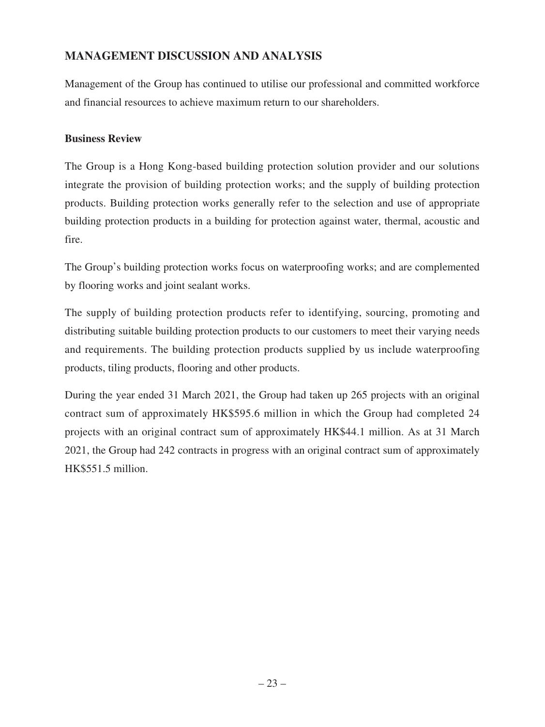# **MANAGEMENT DISCUSSION AND ANALYSIS**

Management of the Group has continued to utilise our professional and committed workforce and financial resources to achieve maximum return to our shareholders.

### **Business Review**

The Group is a Hong Kong-based building protection solution provider and our solutions integrate the provision of building protection works; and the supply of building protection products. Building protection works generally refer to the selection and use of appropriate building protection products in a building for protection against water, thermal, acoustic and fire.

The Group's building protection works focus on waterproofing works; and are complemented by flooring works and joint sealant works.

The supply of building protection products refer to identifying, sourcing, promoting and distributing suitable building protection products to our customers to meet their varying needs and requirements. The building protection products supplied by us include waterproofing products, tiling products, flooring and other products.

During the year ended 31 March 2021, the Group had taken up 265 projects with an original contract sum of approximately HK\$595.6 million in which the Group had completed 24 projects with an original contract sum of approximately HK\$44.1 million. As at 31 March 2021, the Group had 242 contracts in progress with an original contract sum of approximately HK\$551.5 million.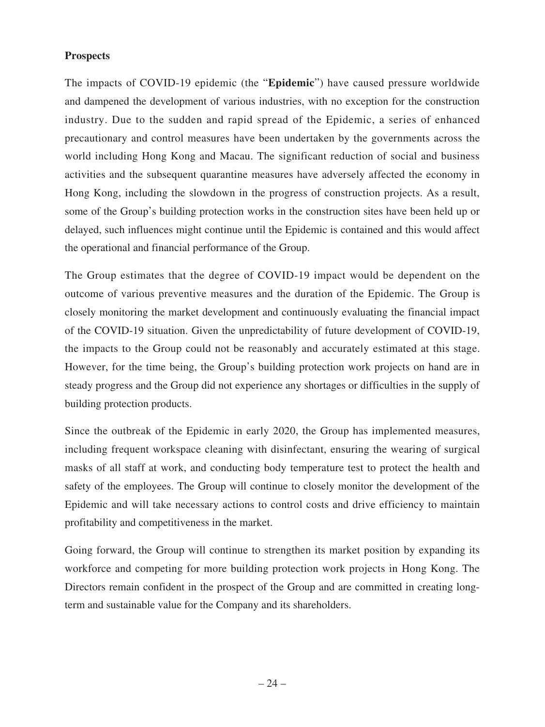#### **Prospects**

The impacts of COVID-19 epidemic (the "**Epidemic**") have caused pressure worldwide and dampened the development of various industries, with no exception for the construction industry. Due to the sudden and rapid spread of the Epidemic, a series of enhanced precautionary and control measures have been undertaken by the governments across the world including Hong Kong and Macau. The significant reduction of social and business activities and the subsequent quarantine measures have adversely affected the economy in Hong Kong, including the slowdown in the progress of construction projects. As a result, some of the Group's building protection works in the construction sites have been held up or delayed, such influences might continue until the Epidemic is contained and this would affect the operational and financial performance of the Group.

The Group estimates that the degree of COVID-19 impact would be dependent on the outcome of various preventive measures and the duration of the Epidemic. The Group is closely monitoring the market development and continuously evaluating the financial impact of the COVID-19 situation. Given the unpredictability of future development of COVID-19, the impacts to the Group could not be reasonably and accurately estimated at this stage. However, for the time being, the Group's building protection work projects on hand are in steady progress and the Group did not experience any shortages or difficulties in the supply of building protection products.

Since the outbreak of the Epidemic in early 2020, the Group has implemented measures, including frequent workspace cleaning with disinfectant, ensuring the wearing of surgical masks of all staff at work, and conducting body temperature test to protect the health and safety of the employees. The Group will continue to closely monitor the development of the Epidemic and will take necessary actions to control costs and drive efficiency to maintain profitability and competitiveness in the market.

Going forward, the Group will continue to strengthen its market position by expanding its workforce and competing for more building protection work projects in Hong Kong. The Directors remain confident in the prospect of the Group and are committed in creating longterm and sustainable value for the Company and its shareholders.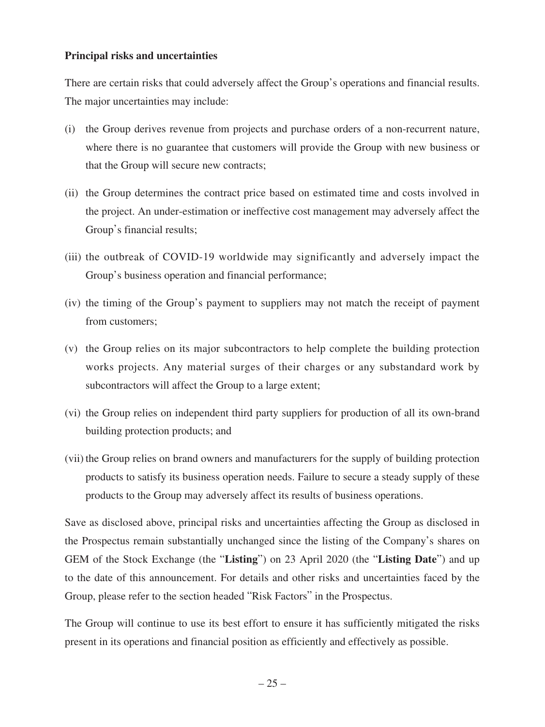#### **Principal risks and uncertainties**

There are certain risks that could adversely affect the Group's operations and financial results. The major uncertainties may include:

- (i) the Group derives revenue from projects and purchase orders of a non-recurrent nature, where there is no guarantee that customers will provide the Group with new business or that the Group will secure new contracts;
- (ii) the Group determines the contract price based on estimated time and costs involved in the project. An under-estimation or ineffective cost management may adversely affect the Group's financial results;
- (iii) the outbreak of COVID-19 worldwide may significantly and adversely impact the Group's business operation and financial performance;
- (iv) the timing of the Group's payment to suppliers may not match the receipt of payment from customers;
- (v) the Group relies on its major subcontractors to help complete the building protection works projects. Any material surges of their charges or any substandard work by subcontractors will affect the Group to a large extent;
- (vi) the Group relies on independent third party suppliers for production of all its own-brand building protection products; and
- (vii) the Group relies on brand owners and manufacturers for the supply of building protection products to satisfy its business operation needs. Failure to secure a steady supply of these products to the Group may adversely affect its results of business operations.

Save as disclosed above, principal risks and uncertainties affecting the Group as disclosed in the Prospectus remain substantially unchanged since the listing of the Company's shares on GEM of the Stock Exchange (the "**Listing**") on 23 April 2020 (the "**Listing Date**") and up to the date of this announcement. For details and other risks and uncertainties faced by the Group, please refer to the section headed "Risk Factors" in the Prospectus.

The Group will continue to use its best effort to ensure it has sufficiently mitigated the risks present in its operations and financial position as efficiently and effectively as possible.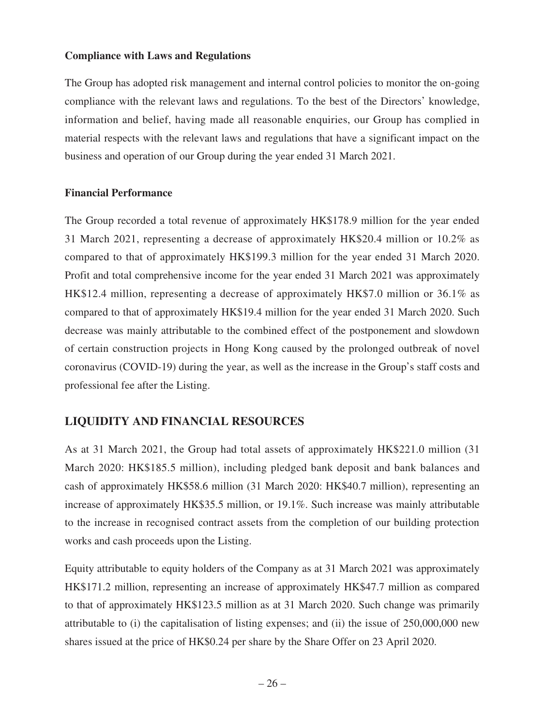#### **Compliance with Laws and Regulations**

The Group has adopted risk management and internal control policies to monitor the on-going compliance with the relevant laws and regulations. To the best of the Directors' knowledge, information and belief, having made all reasonable enquiries, our Group has complied in material respects with the relevant laws and regulations that have a significant impact on the business and operation of our Group during the year ended 31 March 2021.

#### **Financial Performance**

The Group recorded a total revenue of approximately HK\$178.9 million for the year ended 31 March 2021, representing a decrease of approximately HK\$20.4 million or 10.2% as compared to that of approximately HK\$199.3 million for the year ended 31 March 2020. Profit and total comprehensive income for the year ended 31 March 2021 was approximately HK\$12.4 million, representing a decrease of approximately HK\$7.0 million or 36.1% as compared to that of approximately HK\$19.4 million for the year ended 31 March 2020. Such decrease was mainly attributable to the combined effect of the postponement and slowdown of certain construction projects in Hong Kong caused by the prolonged outbreak of novel coronavirus (COVID-19) during the year, as well as the increase in the Group's staff costs and professional fee after the Listing.

## **LIQUIDITY AND FINANCIAL RESOURCES**

As at 31 March 2021, the Group had total assets of approximately HK\$221.0 million (31 March 2020: HK\$185.5 million), including pledged bank deposit and bank balances and cash of approximately HK\$58.6 million (31 March 2020: HK\$40.7 million), representing an increase of approximately HK\$35.5 million, or 19.1%. Such increase was mainly attributable to the increase in recognised contract assets from the completion of our building protection works and cash proceeds upon the Listing.

Equity attributable to equity holders of the Company as at 31 March 2021 was approximately HK\$171.2 million, representing an increase of approximately HK\$47.7 million as compared to that of approximately HK\$123.5 million as at 31 March 2020. Such change was primarily attributable to (i) the capitalisation of listing expenses; and (ii) the issue of 250,000,000 new shares issued at the price of HK\$0.24 per share by the Share Offer on 23 April 2020.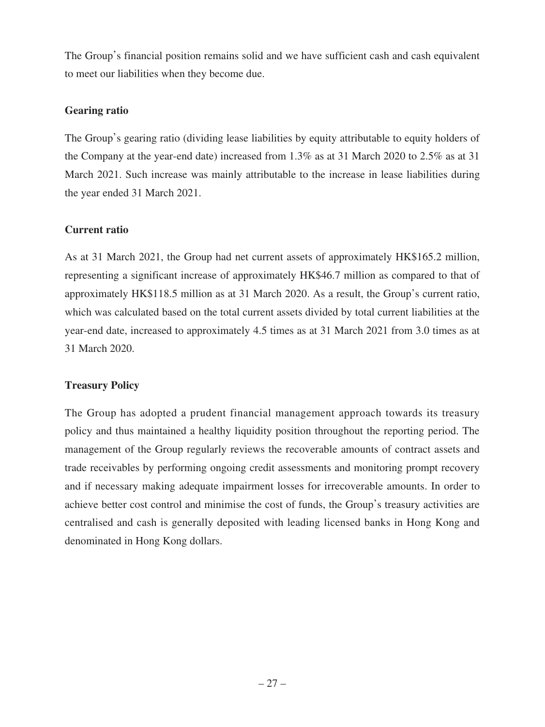The Group's financial position remains solid and we have sufficient cash and cash equivalent to meet our liabilities when they become due.

### **Gearing ratio**

The Group's gearing ratio (dividing lease liabilities by equity attributable to equity holders of the Company at the year-end date) increased from 1.3% as at 31 March 2020 to 2.5% as at 31 March 2021. Such increase was mainly attributable to the increase in lease liabilities during the year ended 31 March 2021.

## **Current ratio**

As at 31 March 2021, the Group had net current assets of approximately HK\$165.2 million, representing a significant increase of approximately HK\$46.7 million as compared to that of approximately HK\$118.5 million as at 31 March 2020. As a result, the Group's current ratio, which was calculated based on the total current assets divided by total current liabilities at the year-end date, increased to approximately 4.5 times as at 31 March 2021 from 3.0 times as at 31 March 2020.

## **Treasury Policy**

The Group has adopted a prudent financial management approach towards its treasury policy and thus maintained a healthy liquidity position throughout the reporting period. The management of the Group regularly reviews the recoverable amounts of contract assets and trade receivables by performing ongoing credit assessments and monitoring prompt recovery and if necessary making adequate impairment losses for irrecoverable amounts. In order to achieve better cost control and minimise the cost of funds, the Group's treasury activities are centralised and cash is generally deposited with leading licensed banks in Hong Kong and denominated in Hong Kong dollars.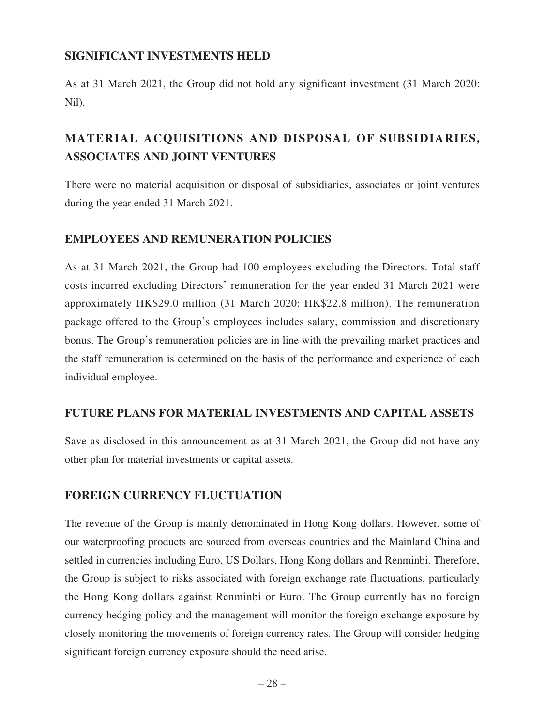## **SIGNIFICANT INVESTMENTS HELD**

As at 31 March 2021, the Group did not hold any significant investment (31 March 2020: Nil).

# **MATERIAL ACQUISITIONS AND DISPOSAL OF SUBSIDIARIES, ASSOCIATES AND JOINT VENTURES**

There were no material acquisition or disposal of subsidiaries, associates or joint ventures during the year ended 31 March 2021.

# **EMPLOYEES AND REMUNERATION POLICIES**

As at 31 March 2021, the Group had 100 employees excluding the Directors. Total staff costs incurred excluding Directors' remuneration for the year ended 31 March 2021 were approximately HK\$29.0 million (31 March 2020: HK\$22.8 million). The remuneration package offered to the Group's employees includes salary, commission and discretionary bonus. The Group's remuneration policies are in line with the prevailing market practices and the staff remuneration is determined on the basis of the performance and experience of each individual employee.

# **FUTURE PLANS FOR MATERIAL INVESTMENTS AND CAPITAL ASSETS**

Save as disclosed in this announcement as at 31 March 2021, the Group did not have any other plan for material investments or capital assets.

# **FOREIGN CURRENCY FLUCTUATION**

The revenue of the Group is mainly denominated in Hong Kong dollars. However, some of our waterproofing products are sourced from overseas countries and the Mainland China and settled in currencies including Euro, US Dollars, Hong Kong dollars and Renminbi. Therefore, the Group is subject to risks associated with foreign exchange rate fluctuations, particularly the Hong Kong dollars against Renminbi or Euro. The Group currently has no foreign currency hedging policy and the management will monitor the foreign exchange exposure by closely monitoring the movements of foreign currency rates. The Group will consider hedging significant foreign currency exposure should the need arise.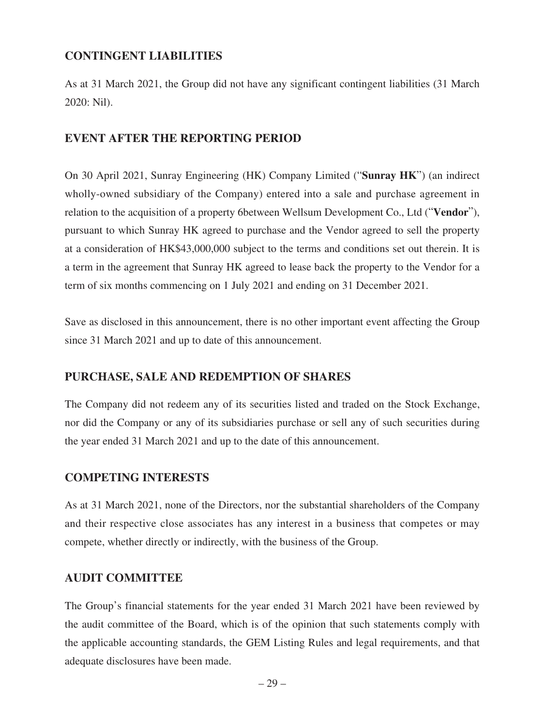## **CONTINGENT LIABILITIES**

As at 31 March 2021, the Group did not have any significant contingent liabilities (31 March 2020: Nil).

### **EVENT AFTER THE REPORTING PERIOD**

On 30 April 2021, Sunray Engineering (HK) Company Limited ("**Sunray HK**") (an indirect wholly-owned subsidiary of the Company) entered into a sale and purchase agreement in relation to the acquisition of a property 6between Wellsum Development Co., Ltd ("**Vendor**"), pursuant to which Sunray HK agreed to purchase and the Vendor agreed to sell the property at a consideration of HK\$43,000,000 subject to the terms and conditions set out therein. It is a term in the agreement that Sunray HK agreed to lease back the property to the Vendor for a term of six months commencing on 1 July 2021 and ending on 31 December 2021.

Save as disclosed in this announcement, there is no other important event affecting the Group since 31 March 2021 and up to date of this announcement.

## **PURCHASE, SALE AND REDEMPTION OF SHARES**

The Company did not redeem any of its securities listed and traded on the Stock Exchange, nor did the Company or any of its subsidiaries purchase or sell any of such securities during the year ended 31 March 2021 and up to the date of this announcement.

#### **COMPETING INTERESTS**

As at 31 March 2021, none of the Directors, nor the substantial shareholders of the Company and their respective close associates has any interest in a business that competes or may compete, whether directly or indirectly, with the business of the Group.

#### **AUDIT COMMITTEE**

The Group's financial statements for the year ended 31 March 2021 have been reviewed by the audit committee of the Board, which is of the opinion that such statements comply with the applicable accounting standards, the GEM Listing Rules and legal requirements, and that adequate disclosures have been made.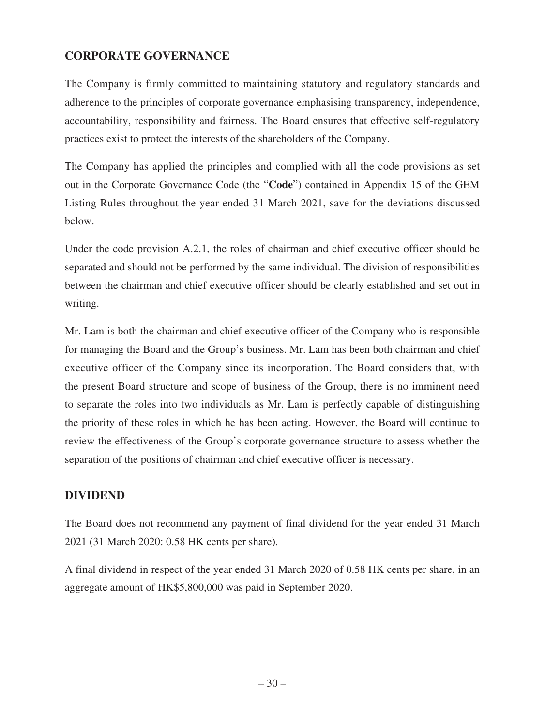# **CORPORATE GOVERNANCE**

The Company is firmly committed to maintaining statutory and regulatory standards and adherence to the principles of corporate governance emphasising transparency, independence, accountability, responsibility and fairness. The Board ensures that effective self-regulatory practices exist to protect the interests of the shareholders of the Company.

The Company has applied the principles and complied with all the code provisions as set out in the Corporate Governance Code (the "**Code**") contained in Appendix 15 of the GEM Listing Rules throughout the year ended 31 March 2021, save for the deviations discussed below.

Under the code provision A.2.1, the roles of chairman and chief executive officer should be separated and should not be performed by the same individual. The division of responsibilities between the chairman and chief executive officer should be clearly established and set out in writing.

Mr. Lam is both the chairman and chief executive officer of the Company who is responsible for managing the Board and the Group's business. Mr. Lam has been both chairman and chief executive officer of the Company since its incorporation. The Board considers that, with the present Board structure and scope of business of the Group, there is no imminent need to separate the roles into two individuals as Mr. Lam is perfectly capable of distinguishing the priority of these roles in which he has been acting. However, the Board will continue to review the effectiveness of the Group's corporate governance structure to assess whether the separation of the positions of chairman and chief executive officer is necessary.

## **DIVIDEND**

The Board does not recommend any payment of final dividend for the year ended 31 March 2021 (31 March 2020: 0.58 HK cents per share).

A final dividend in respect of the year ended 31 March 2020 of 0.58 HK cents per share, in an aggregate amount of HK\$5,800,000 was paid in September 2020.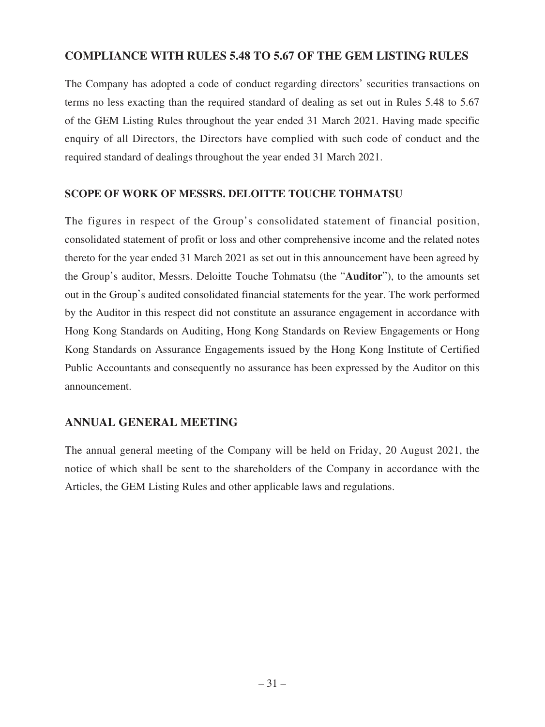## **COMPLIANCE WITH RULES 5.48 TO 5.67 OF THE GEM LISTING RULES**

The Company has adopted a code of conduct regarding directors' securities transactions on terms no less exacting than the required standard of dealing as set out in Rules 5.48 to 5.67 of the GEM Listing Rules throughout the year ended 31 March 2021. Having made specific enquiry of all Directors, the Directors have complied with such code of conduct and the required standard of dealings throughout the year ended 31 March 2021.

#### **SCOPE OF WORK OF MESSRS. DELOITTE TOUCHE TOHMATSU**

The figures in respect of the Group's consolidated statement of financial position, consolidated statement of profit or loss and other comprehensive income and the related notes thereto for the year ended 31 March 2021 as set out in this announcement have been agreed by the Group's auditor, Messrs. Deloitte Touche Tohmatsu (the "**Auditor**"), to the amounts set out in the Group's audited consolidated financial statements for the year. The work performed by the Auditor in this respect did not constitute an assurance engagement in accordance with Hong Kong Standards on Auditing, Hong Kong Standards on Review Engagements or Hong Kong Standards on Assurance Engagements issued by the Hong Kong Institute of Certified Public Accountants and consequently no assurance has been expressed by the Auditor on this announcement.

## **ANNUAL GENERAL MEETING**

The annual general meeting of the Company will be held on Friday, 20 August 2021, the notice of which shall be sent to the shareholders of the Company in accordance with the Articles, the GEM Listing Rules and other applicable laws and regulations.